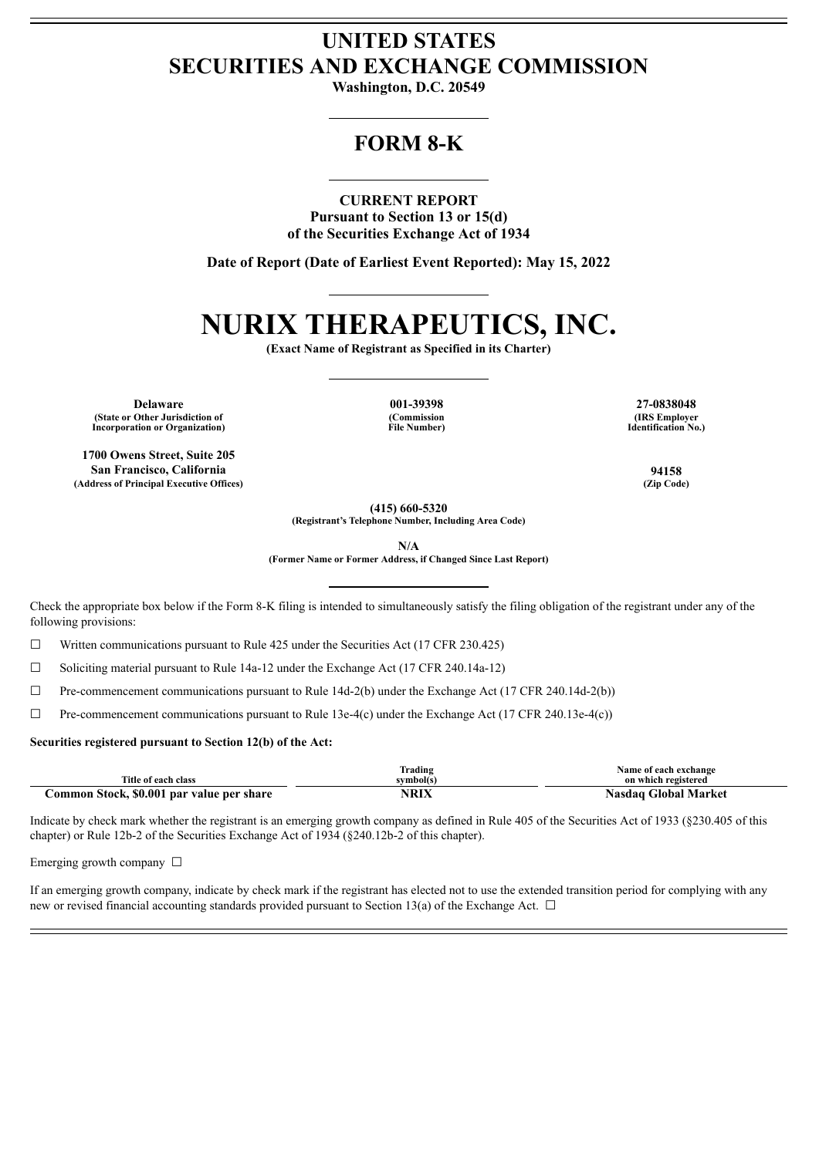## **UNITED STATES SECURITIES AND EXCHANGE COMMISSION**

**Washington, D.C. 20549**

## **FORM 8-K**

### **CURRENT REPORT**

**Pursuant to Section 13 or 15(d) of the Securities Exchange Act of 1934**

**Date of Report (Date of Earliest Event Reported): May 15, 2022**

# **NURIX THERAPEUTICS, INC.**

**(Exact Name of Registrant as Specified in its Charter)**

**Delaware 001-39398 27-0838048 (State or Other Jurisdiction of Incorporation or Organization)**

**1700 Owens Street, Suite 205 San Francisco, California 94158 (Address of Principal Executive Offices) (Zip Code)**

**(Commission File Number)**

**(IRS Employer Identification No.)**

**(415) 660-5320**

**(Registrant's Telephone Number, Including Area Code)**

**N/A**

**(Former Name or Former Address, if Changed Since Last Report)**

Check the appropriate box below if the Form 8-K filing is intended to simultaneously satisfy the filing obligation of the registrant under any of the following provisions:

☐ Written communications pursuant to Rule 425 under the Securities Act (17 CFR 230.425)

☐ Soliciting material pursuant to Rule 14a-12 under the Exchange Act (17 CFR 240.14a-12)

☐ Pre-commencement communications pursuant to Rule 14d-2(b) under the Exchange Act (17 CFR 240.14d-2(b))

 $\Box$  Pre-commencement communications pursuant to Rule 13e-4(c) under the Exchange Act (17 CFR 240.13e-4(c))

#### **Securities registered pursuant to Section 12(b) of the Act:**

| Title of each class                       | lrading<br>symbol(s) | Name of each exchange<br>on which registered |
|-------------------------------------------|----------------------|----------------------------------------------|
| Common Stock, \$0.001 par value per share | NRIX                 | Nasdaq Global Market                         |

Indicate by check mark whether the registrant is an emerging growth company as defined in Rule 405 of the Securities Act of 1933 (§230.405 of this chapter) or Rule 12b-2 of the Securities Exchange Act of 1934 (§240.12b-2 of this chapter).

Emerging growth company  $\Box$ 

If an emerging growth company, indicate by check mark if the registrant has elected not to use the extended transition period for complying with any new or revised financial accounting standards provided pursuant to Section 13(a) of the Exchange Act.  $\Box$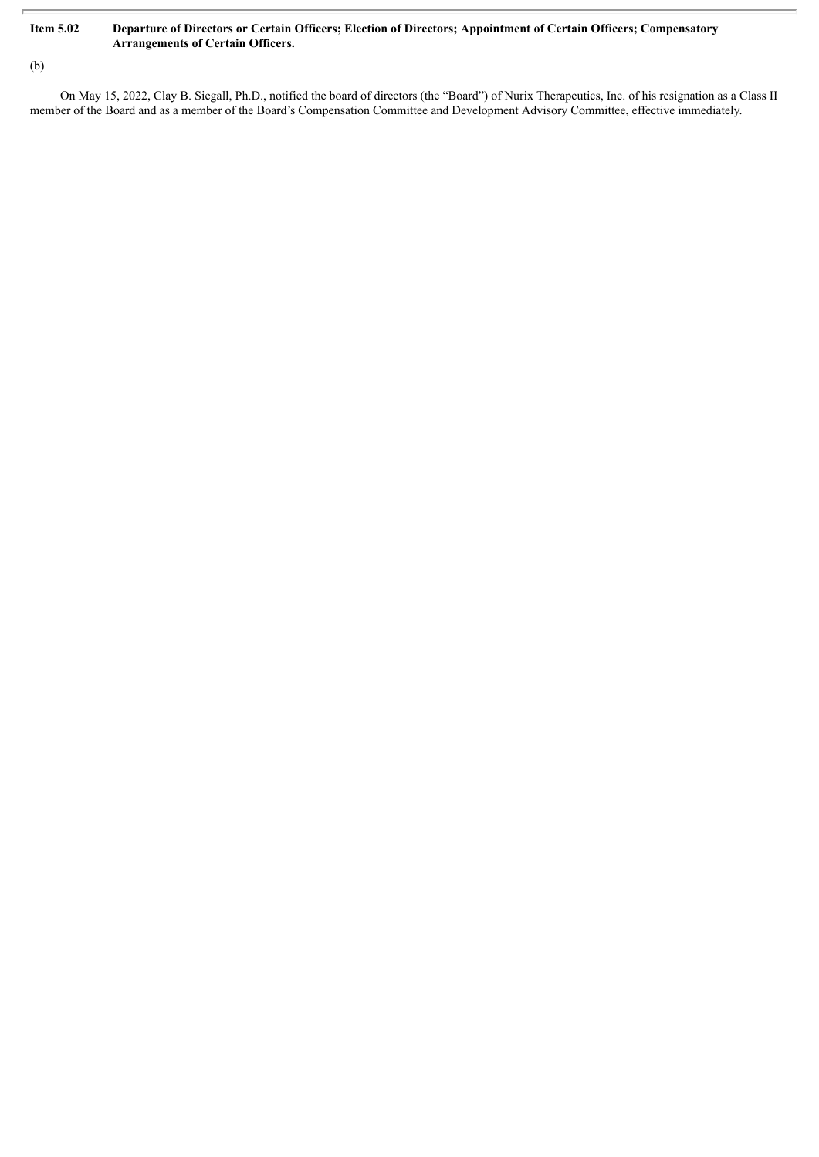### Item 5.02 Departure of Directors or Certain Officers; Election of Directors; Appointment of Certain Officers; Compensatory **Arrangements of Certain Officers.**

(b)

On May 15, 2022, Clay B. Siegall, Ph.D., notified the board of directors (the "Board") of Nurix Therapeutics, Inc. of his resignation as a Class II member of the Board and as a member of the Board's Compensation Committee and Development Advisory Committee, effective immediately.